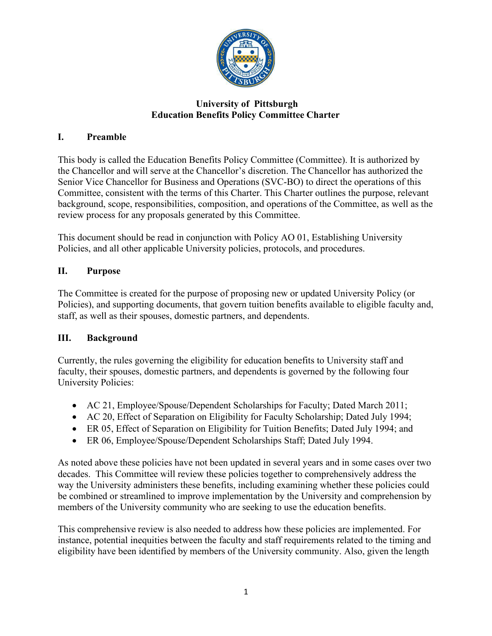

## **University of Pittsburgh Education Benefits Policy Committee Charter**

# **I. Preamble**

This body is called the Education Benefits Policy Committee (Committee). It is authorized by the Chancellor and will serve at the Chancellor's discretion. The Chancellor has authorized the Senior Vice Chancellor for Business and Operations (SVC-BO) to direct the operations of this Committee, consistent with the terms of this Charter. This Charter outlines the purpose, relevant background, scope, responsibilities, composition, and operations of the Committee, as well as the review process for any proposals generated by this Committee.

This document should be read in conjunction with Policy AO 01, Establishing University Policies, and all other applicable University policies, protocols, and procedures.

# **II. Purpose**

The Committee is created for the purpose of proposing new or updated University Policy (or Policies), and supporting documents, that govern tuition benefits available to eligible faculty and, staff, as well as their spouses, domestic partners, and dependents.

### **III. Background**

Currently, the rules governing the eligibility for education benefits to University staff and faculty, their spouses, domestic partners, and dependents is governed by the following four University Policies:

- AC 21, Employee/Spouse/Dependent Scholarships for Faculty; Dated March 2011;
- AC 20, Effect of Separation on Eligibility for Faculty Scholarship; Dated July 1994;
- ER 05, Effect of Separation on Eligibility for Tuition Benefits; Dated July 1994; and
- ER 06, Employee/Spouse/Dependent Scholarships Staff; Dated July 1994.

As noted above these policies have not been updated in several years and in some cases over two decades. This Committee will review these policies together to comprehensively address the way the University administers these benefits, including examining whether these policies could be combined or streamlined to improve implementation by the University and comprehension by members of the University community who are seeking to use the education benefits.

This comprehensive review is also needed to address how these policies are implemented. For instance, potential inequities between the faculty and staff requirements related to the timing and eligibility have been identified by members of the University community. Also, given the length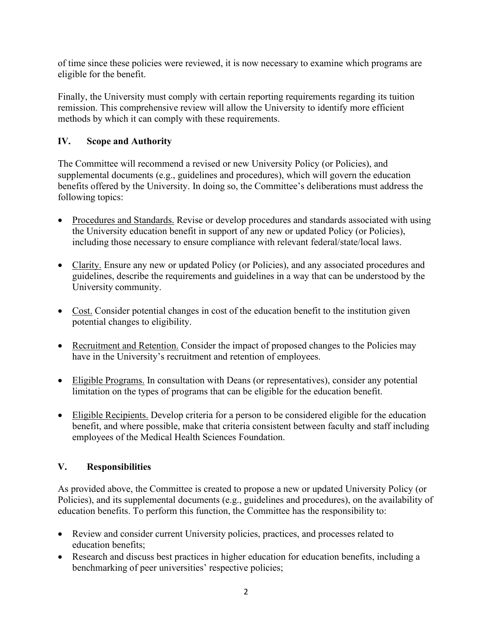of time since these policies were reviewed, it is now necessary to examine which programs are eligible for the benefit.

Finally, the University must comply with certain reporting requirements regarding its tuition remission. This comprehensive review will allow the University to identify more efficient methods by which it can comply with these requirements.

# **IV. Scope and Authority**

The Committee will recommend a revised or new University Policy (or Policies), and supplemental documents (e.g., guidelines and procedures), which will govern the education benefits offered by the University. In doing so, the Committee's deliberations must address the following topics:

- Procedures and Standards. Revise or develop procedures and standards associated with using the University education benefit in support of any new or updated Policy (or Policies), including those necessary to ensure compliance with relevant federal/state/local laws.
- Clarity. Ensure any new or updated Policy (or Policies), and any associated procedures and guidelines, describe the requirements and guidelines in a way that can be understood by the University community.
- Cost. Consider potential changes in cost of the education benefit to the institution given potential changes to eligibility.
- Recruitment and Retention. Consider the impact of proposed changes to the Policies may have in the University's recruitment and retention of employees.
- Eligible Programs. In consultation with Deans (or representatives), consider any potential limitation on the types of programs that can be eligible for the education benefit.
- Eligible Recipients. Develop criteria for a person to be considered eligible for the education benefit, and where possible, make that criteria consistent between faculty and staff including employees of the Medical Health Sciences Foundation.

# **V. Responsibilities**

As provided above, the Committee is created to propose a new or updated University Policy (or Policies), and its supplemental documents (e.g., guidelines and procedures), on the availability of education benefits. To perform this function, the Committee has the responsibility to:

- Review and consider current University policies, practices, and processes related to education benefits;
- Research and discuss best practices in higher education for education benefits, including a benchmarking of peer universities' respective policies;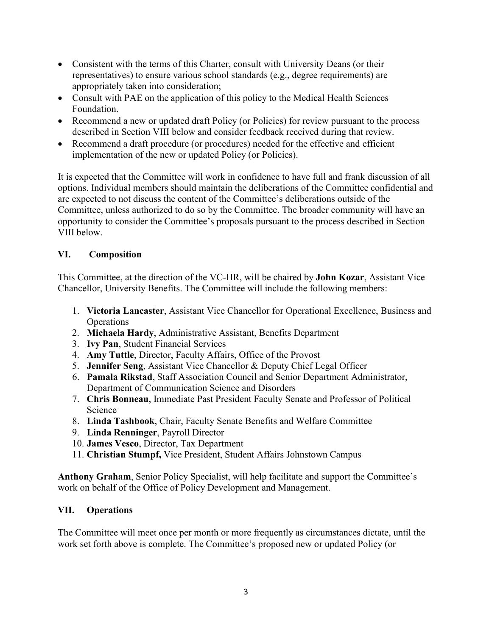- Consistent with the terms of this Charter, consult with University Deans (or their representatives) to ensure various school standards (e.g., degree requirements) are appropriately taken into consideration;
- Consult with PAE on the application of this policy to the Medical Health Sciences Foundation.
- Recommend a new or updated draft Policy (or Policies) for review pursuant to the process described in Section VIII below and consider feedback received during that review.
- Recommend a draft procedure (or procedures) needed for the effective and efficient implementation of the new or updated Policy (or Policies).

It is expected that the Committee will work in confidence to have full and frank discussion of all options. Individual members should maintain the deliberations of the Committee confidential and are expected to not discuss the content of the Committee's deliberations outside of the Committee, unless authorized to do so by the Committee. The broader community will have an opportunity to consider the Committee's proposals pursuant to the process described in Section VIII below.

## **VI. Composition**

This Committee, at the direction of the VC-HR, will be chaired by **John Kozar**, Assistant Vice Chancellor, University Benefits. The Committee will include the following members:

- 1. **Victoria Lancaster**, Assistant Vice Chancellor for Operational Excellence, Business and **Operations**
- 2. **Michaela Hardy**, Administrative Assistant, Benefits Department
- 3. **Ivy Pan**, Student Financial Services
- 4. **Amy Tuttle**, Director, Faculty Affairs, Office of the Provost
- 5. **Jennifer Seng**, Assistant Vice Chancellor & Deputy Chief Legal Officer
- 6. **Pamala Rikstad**, Staff Association Council and Senior Department Administrator, Department of Communication Science and Disorders
- 7. **Chris Bonneau**, Immediate Past President Faculty Senate and Professor of Political Science
- 8. **Linda Tashbook**, Chair, Faculty Senate Benefits and Welfare Committee
- 9. **Linda Renninger**, Payroll Director
- 10. **James Vesco**, Director, Tax Department
- 11. **Christian Stumpf,** Vice President, Student Affairs Johnstown Campus

**Anthony Graham**, Senior Policy Specialist, will help facilitate and support the Committee's work on behalf of the Office of Policy Development and Management.

### **VII. Operations**

The Committee will meet once per month or more frequently as circumstances dictate, until the work set forth above is complete. The Committee's proposed new or updated Policy (or